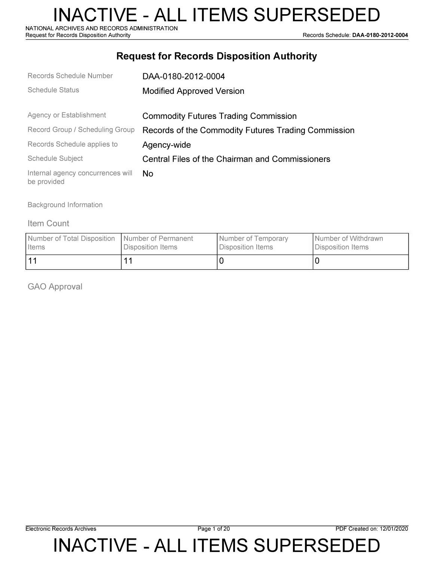NATIONAL ARCHIVES AND RECORDS ADMINISTRATION<br>Request for Records Disposition Authority

Records Schedule: DAA-0180-2012-0004

#### **Request for Records Disposition Authority**

| Records Schedule Number                          | DAA-0180-2012-0004                                  |
|--------------------------------------------------|-----------------------------------------------------|
| <b>Schedule Status</b>                           | <b>Modified Approved Version</b>                    |
|                                                  |                                                     |
| Agency or Establishment                          | <b>Commodity Futures Trading Commission</b>         |
| Record Group / Scheduling Group                  | Records of the Commodity Futures Trading Commission |
| Records Schedule applies to                      | Agency-wide                                         |
| <b>Schedule Subject</b>                          | Central Files of the Chairman and Commissioners     |
| Internal agency concurrences will<br>be provided | No.                                                 |

Background Information

#### Item Count

| Number of Total Disposition   Number of Permanent | Disposition Items | Number of Temporary | Number of Withdrawn |
|---------------------------------------------------|-------------------|---------------------|---------------------|
| I Items                                           |                   | Disposition Items   | Disposition Items   |
| 11                                                |                   |                     |                     |

GAO Approval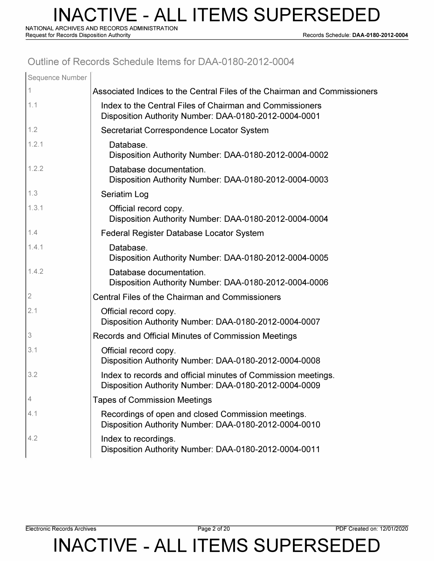**NATIONAL ARCHIVES AND RECORDS ADMINISTRATION** 

**Request for Records Disposition Authority Records Schedule: DAA-0180-2012-0004** 

#### **Outline of Records Schedule Items for DAA-0180-2012-0004**

| Sequence Number           |                                                                                                                        |
|---------------------------|------------------------------------------------------------------------------------------------------------------------|
|                           | Associated Indices to the Central Files of the Chairman and Commissioners                                              |
| 1.1                       | Index to the Central Files of Chairman and Commissioners<br>Disposition Authority Number: DAA-0180-2012-0004-0001      |
| 1.2                       | Secretariat Correspondence Locator System                                                                              |
| 1.2.1                     | Database.<br>Disposition Authority Number: DAA-0180-2012-0004-0002                                                     |
| 1.2.2                     | Database documentation.<br>Disposition Authority Number: DAA-0180-2012-0004-0003                                       |
| 1.3                       | Seriatim Log                                                                                                           |
| 1.3.1                     | Official record copy.<br>Disposition Authority Number: DAA-0180-2012-0004-0004                                         |
| 1.4                       | Federal Register Database Locator System                                                                               |
| 1.4.1                     | Database.<br>Disposition Authority Number: DAA-0180-2012-0004-0005                                                     |
| 1.4.2                     | Database documentation.<br>Disposition Authority Number: DAA-0180-2012-0004-0006                                       |
| $\sqrt{2}$                | <b>Central Files of the Chairman and Commissioners</b>                                                                 |
| 2.1                       | Official record copy.<br>Disposition Authority Number: DAA-0180-2012-0004-0007                                         |
| $\ensuremath{\mathsf{3}}$ | Records and Official Minutes of Commission Meetings                                                                    |
| 3.1                       | Official record copy.<br>Disposition Authority Number: DAA-0180-2012-0004-0008                                         |
| 3.2                       | Index to records and official minutes of Commission meetings.<br>Disposition Authority Number: DAA-0180-2012-0004-0009 |
| 4                         | <b>Tapes of Commission Meetings</b>                                                                                    |
| 4.1                       | Recordings of open and closed Commission meetings.<br>Disposition Authority Number: DAA-0180-2012-0004-0010            |
| 4.2                       | Index to recordings.<br>Disposition Authority Number: DAA-0180-2012-0004-0011                                          |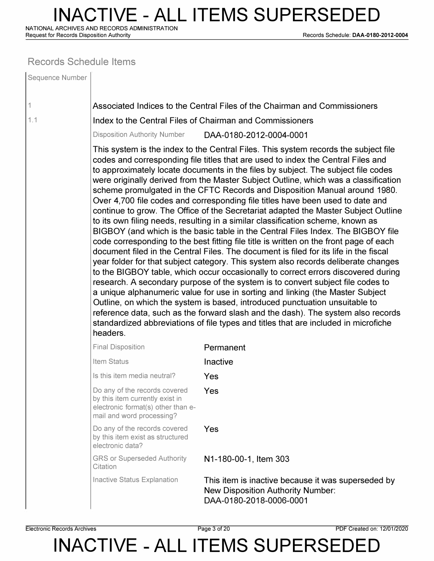**NATIONAL ARCHIVES AND RECORDS ADMINISTRATION** 

**Request for Records Disposition Authority Records Schedule: DAA-0180-2012-0004** 

#### **Records Schedule Items**

| Sequence Number |                                                                                                                                     |                                                                                                                                                                                                                                                                                                                                                                                                                                                                                                                                                                                                                                                                                                                                                                                                                                                                                                                                                                                                                                                                                                                                                                                                                                                                                                                                                                                                                                                                                                                                                                               |
|-----------------|-------------------------------------------------------------------------------------------------------------------------------------|-------------------------------------------------------------------------------------------------------------------------------------------------------------------------------------------------------------------------------------------------------------------------------------------------------------------------------------------------------------------------------------------------------------------------------------------------------------------------------------------------------------------------------------------------------------------------------------------------------------------------------------------------------------------------------------------------------------------------------------------------------------------------------------------------------------------------------------------------------------------------------------------------------------------------------------------------------------------------------------------------------------------------------------------------------------------------------------------------------------------------------------------------------------------------------------------------------------------------------------------------------------------------------------------------------------------------------------------------------------------------------------------------------------------------------------------------------------------------------------------------------------------------------------------------------------------------------|
| 1               |                                                                                                                                     | Associated Indices to the Central Files of the Chairman and Commissioners                                                                                                                                                                                                                                                                                                                                                                                                                                                                                                                                                                                                                                                                                                                                                                                                                                                                                                                                                                                                                                                                                                                                                                                                                                                                                                                                                                                                                                                                                                     |
| 1.1             |                                                                                                                                     | Index to the Central Files of Chairman and Commissioners                                                                                                                                                                                                                                                                                                                                                                                                                                                                                                                                                                                                                                                                                                                                                                                                                                                                                                                                                                                                                                                                                                                                                                                                                                                                                                                                                                                                                                                                                                                      |
|                 | <b>Disposition Authority Number</b>                                                                                                 | DAA-0180-2012-0004-0001                                                                                                                                                                                                                                                                                                                                                                                                                                                                                                                                                                                                                                                                                                                                                                                                                                                                                                                                                                                                                                                                                                                                                                                                                                                                                                                                                                                                                                                                                                                                                       |
|                 | headers.                                                                                                                            | This system is the index to the Central Files. This system records the subject file<br>codes and corresponding file titles that are used to index the Central Files and<br>to approximately locate documents in the files by subject. The subject file codes<br>were originally derived from the Master Subject Outline, which was a classification<br>scheme promulgated in the CFTC Records and Disposition Manual around 1980.<br>Over 4,700 file codes and corresponding file titles have been used to date and<br>continue to grow. The Office of the Secretariat adapted the Master Subject Outline<br>to its own filing needs, resulting in a similar classification scheme, known as<br>BIGBOY (and which is the basic table in the Central Files Index. The BIGBOY file<br>code corresponding to the best fitting file title is written on the front page of each<br>document filed in the Central Files. The document is filed for its life in the fiscal<br>year folder for that subject category. This system also records deliberate changes<br>to the BIGBOY table, which occur occasionally to correct errors discovered during<br>research. A secondary purpose of the system is to convert subject file codes to<br>a unique alphanumeric value for use in sorting and linking (the Master Subject<br>Outline, on which the system is based, introduced punctuation unsuitable to<br>reference data, such as the forward slash and the dash). The system also records<br>standardized abbreviations of file types and titles that are included in microfiche |
|                 | <b>Final Disposition</b>                                                                                                            | Permanent                                                                                                                                                                                                                                                                                                                                                                                                                                                                                                                                                                                                                                                                                                                                                                                                                                                                                                                                                                                                                                                                                                                                                                                                                                                                                                                                                                                                                                                                                                                                                                     |
|                 | Item Status                                                                                                                         | Inactive                                                                                                                                                                                                                                                                                                                                                                                                                                                                                                                                                                                                                                                                                                                                                                                                                                                                                                                                                                                                                                                                                                                                                                                                                                                                                                                                                                                                                                                                                                                                                                      |
|                 | Is this item media neutral?                                                                                                         | Yes                                                                                                                                                                                                                                                                                                                                                                                                                                                                                                                                                                                                                                                                                                                                                                                                                                                                                                                                                                                                                                                                                                                                                                                                                                                                                                                                                                                                                                                                                                                                                                           |
|                 | Do any of the records covered<br>by this item currently exist in<br>electronic format(s) other than e-<br>mail and word processing? | Yes                                                                                                                                                                                                                                                                                                                                                                                                                                                                                                                                                                                                                                                                                                                                                                                                                                                                                                                                                                                                                                                                                                                                                                                                                                                                                                                                                                                                                                                                                                                                                                           |
|                 | Do any of the records covered<br>by this item exist as structured<br>electronic data?                                               | Yes                                                                                                                                                                                                                                                                                                                                                                                                                                                                                                                                                                                                                                                                                                                                                                                                                                                                                                                                                                                                                                                                                                                                                                                                                                                                                                                                                                                                                                                                                                                                                                           |
|                 | <b>GRS or Superseded Authority</b><br>Citation                                                                                      | N1-180-00-1, Item 303                                                                                                                                                                                                                                                                                                                                                                                                                                                                                                                                                                                                                                                                                                                                                                                                                                                                                                                                                                                                                                                                                                                                                                                                                                                                                                                                                                                                                                                                                                                                                         |
|                 | Inactive Status Explanation                                                                                                         | This item is inactive because it was superseded by<br><b>New Disposition Authority Number:</b><br>DAA-0180-2018-0006-0001                                                                                                                                                                                                                                                                                                                                                                                                                                                                                                                                                                                                                                                                                                                                                                                                                                                                                                                                                                                                                                                                                                                                                                                                                                                                                                                                                                                                                                                     |

**Electronic Records Archives Page 3 of 20 PDF Created on: 12/01/2020**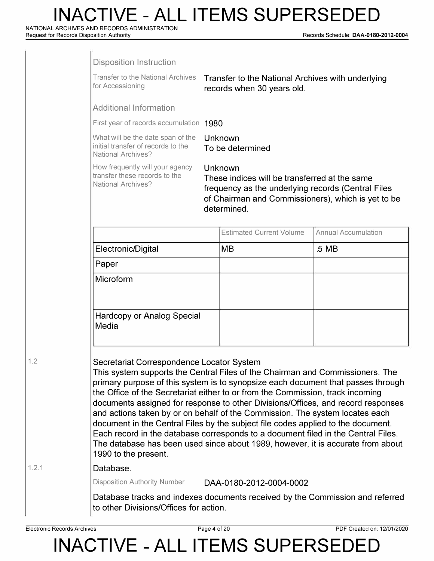**NATIONAL ARCHIVES AND RECORDS ADMINISTRATION** 

**Request for Records Disposition Authority Records Schedule: DAA-0180-2012-0004** 

|       | <b>Disposition Instruction</b>                                                                                                                                                                                                                                                                                                                                                                                                                                                                                                                                                                                                                                                                                                                           |                                                                                                                                                                                     |                            |
|-------|----------------------------------------------------------------------------------------------------------------------------------------------------------------------------------------------------------------------------------------------------------------------------------------------------------------------------------------------------------------------------------------------------------------------------------------------------------------------------------------------------------------------------------------------------------------------------------------------------------------------------------------------------------------------------------------------------------------------------------------------------------|-------------------------------------------------------------------------------------------------------------------------------------------------------------------------------------|----------------------------|
|       | <b>Transfer to the National Archives</b><br>for Accessioning                                                                                                                                                                                                                                                                                                                                                                                                                                                                                                                                                                                                                                                                                             | Transfer to the National Archives with underlying<br>records when 30 years old.                                                                                                     |                            |
|       | <b>Additional Information</b>                                                                                                                                                                                                                                                                                                                                                                                                                                                                                                                                                                                                                                                                                                                            |                                                                                                                                                                                     |                            |
|       | First year of records accumulation 1980                                                                                                                                                                                                                                                                                                                                                                                                                                                                                                                                                                                                                                                                                                                  |                                                                                                                                                                                     |                            |
|       | What will be the date span of the<br>initial transfer of records to the<br><b>National Archives?</b>                                                                                                                                                                                                                                                                                                                                                                                                                                                                                                                                                                                                                                                     | Unknown<br>To be determined                                                                                                                                                         |                            |
|       | How frequently will your agency<br>transfer these records to the<br><b>National Archives?</b>                                                                                                                                                                                                                                                                                                                                                                                                                                                                                                                                                                                                                                                            | Unknown<br>These indices will be transferred at the same<br>frequency as the underlying records (Central Files<br>of Chairman and Commissioners), which is yet to be<br>determined. |                            |
|       |                                                                                                                                                                                                                                                                                                                                                                                                                                                                                                                                                                                                                                                                                                                                                          | <b>Estimated Current Volume</b>                                                                                                                                                     | <b>Annual Accumulation</b> |
|       | Electronic/Digital                                                                                                                                                                                                                                                                                                                                                                                                                                                                                                                                                                                                                                                                                                                                       | MB                                                                                                                                                                                  | .5 MB                      |
|       | Paper                                                                                                                                                                                                                                                                                                                                                                                                                                                                                                                                                                                                                                                                                                                                                    |                                                                                                                                                                                     |                            |
|       | Microform                                                                                                                                                                                                                                                                                                                                                                                                                                                                                                                                                                                                                                                                                                                                                |                                                                                                                                                                                     |                            |
|       | <b>Hardcopy or Analog Special</b><br>Media                                                                                                                                                                                                                                                                                                                                                                                                                                                                                                                                                                                                                                                                                                               |                                                                                                                                                                                     |                            |
| 1.2   | Secretariat Correspondence Locator System<br>This system supports the Central Files of the Chairman and Commissioners. The<br>primary purpose of this system is to synopsize each document that passes through<br>the Office of the Secretariat either to or from the Commission, track incoming<br>documents assigned for response to other Divisions/Offices, and record responses<br>and actions taken by or on behalf of the Commission. The system locates each<br>document in the Central Files by the subject file codes applied to the document.<br>Each record in the database corresponds to a document filed in the Central Files.<br>The database has been used since about 1989, however, it is accurate from about<br>1990 to the present. |                                                                                                                                                                                     |                            |
| 1.2.1 | Database.                                                                                                                                                                                                                                                                                                                                                                                                                                                                                                                                                                                                                                                                                                                                                |                                                                                                                                                                                     |                            |
|       | <b>Disposition Authority Number</b>                                                                                                                                                                                                                                                                                                                                                                                                                                                                                                                                                                                                                                                                                                                      | DAA-0180-2012-0004-0002                                                                                                                                                             |                            |
|       | Database tracks and indexes documents received by the Commission and referred<br>to other Divisions/Offices for action.                                                                                                                                                                                                                                                                                                                                                                                                                                                                                                                                                                                                                                  |                                                                                                                                                                                     |                            |

 $1.2.1$ 

**Electronic Records Archives** Page 4 of 20 PDF Created on: 12/01/2020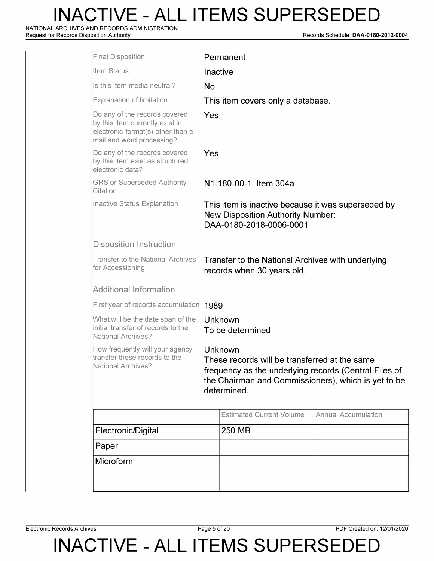**NATIONAL ARCHIVES AND RECORDS ADMINISTRATION** 

**Request for Records Disposition Authority Records Schedule: DAA-0180-2012-0004** 

| <b>Final Disposition</b>                                                                                                            |                                                                                                                                                                                         | Permanent                                                                                                                 |                            |  |  |
|-------------------------------------------------------------------------------------------------------------------------------------|-----------------------------------------------------------------------------------------------------------------------------------------------------------------------------------------|---------------------------------------------------------------------------------------------------------------------------|----------------------------|--|--|
| Item Status                                                                                                                         |                                                                                                                                                                                         | Inactive                                                                                                                  |                            |  |  |
| Is this item media neutral?                                                                                                         | <b>No</b>                                                                                                                                                                               |                                                                                                                           |                            |  |  |
| <b>Explanation of limitation</b>                                                                                                    |                                                                                                                                                                                         | This item covers only a database.                                                                                         |                            |  |  |
| Do any of the records covered<br>by this item currently exist in<br>electronic format(s) other than e-<br>mail and word processing? |                                                                                                                                                                                         | Yes                                                                                                                       |                            |  |  |
| Do any of the records covered<br>by this item exist as structured<br>electronic data?                                               |                                                                                                                                                                                         | Yes                                                                                                                       |                            |  |  |
| <b>GRS or Superseded Authority</b><br>Citation                                                                                      |                                                                                                                                                                                         | N1-180-00-1, Item 304a                                                                                                    |                            |  |  |
| <b>Inactive Status Explanation</b>                                                                                                  |                                                                                                                                                                                         | This item is inactive because it was superseded by<br><b>New Disposition Authority Number:</b><br>DAA-0180-2018-0006-0001 |                            |  |  |
| <b>Disposition Instruction</b>                                                                                                      |                                                                                                                                                                                         |                                                                                                                           |                            |  |  |
| <b>Transfer to the National Archives</b><br>for Accessioning                                                                        | Transfer to the National Archives with underlying<br>records when 30 years old.                                                                                                         |                                                                                                                           |                            |  |  |
| <b>Additional Information</b>                                                                                                       |                                                                                                                                                                                         |                                                                                                                           |                            |  |  |
| First year of records accumulation                                                                                                  | 1989                                                                                                                                                                                    |                                                                                                                           |                            |  |  |
| What will be the date span of the<br>initial transfer of records to the<br><b>National Archives?</b>                                | Unknown<br>To be determined                                                                                                                                                             |                                                                                                                           |                            |  |  |
| How frequently will your agency<br>transfer these records to the<br><b>National Archives?</b>                                       | Unknown<br>These records will be transferred at the same<br>frequency as the underlying records (Central Files of<br>the Chairman and Commissioners), which is yet to be<br>determined. |                                                                                                                           |                            |  |  |
|                                                                                                                                     |                                                                                                                                                                                         | <b>Estimated Current Volume</b>                                                                                           | <b>Annual Accumulation</b> |  |  |
| Electronic/Digital                                                                                                                  |                                                                                                                                                                                         | 250 MB                                                                                                                    |                            |  |  |
| Paper                                                                                                                               |                                                                                                                                                                                         |                                                                                                                           |                            |  |  |
| Microform                                                                                                                           |                                                                                                                                                                                         |                                                                                                                           |                            |  |  |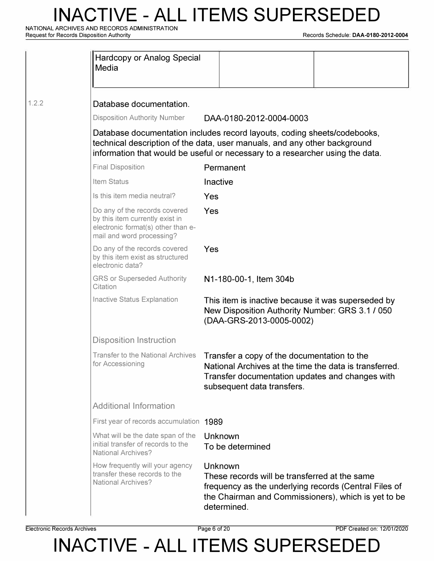**NATIONAL ARCHIVES AND RECORDS ADMINISTRATION** 

**Request for Records Disposition Authority Records Schedule: DAA-0180-2012-0004** 

|       | Hardcopy or Analog Special<br>Media                                                                                                 |                                                                                                                                                                                                                                        |  |
|-------|-------------------------------------------------------------------------------------------------------------------------------------|----------------------------------------------------------------------------------------------------------------------------------------------------------------------------------------------------------------------------------------|--|
| 1.2.2 | Database documentation.                                                                                                             |                                                                                                                                                                                                                                        |  |
|       | <b>Disposition Authority Number</b>                                                                                                 | DAA-0180-2012-0004-0003                                                                                                                                                                                                                |  |
|       |                                                                                                                                     | Database documentation includes record layouts, coding sheets/codebooks,<br>technical description of the data, user manuals, and any other background<br>information that would be useful or necessary to a researcher using the data. |  |
|       | <b>Final Disposition</b>                                                                                                            | Permanent                                                                                                                                                                                                                              |  |
|       | Item Status                                                                                                                         | Inactive                                                                                                                                                                                                                               |  |
|       | Is this item media neutral?                                                                                                         | Yes                                                                                                                                                                                                                                    |  |
|       | Do any of the records covered<br>by this item currently exist in<br>electronic format(s) other than e-<br>mail and word processing? | Yes                                                                                                                                                                                                                                    |  |
|       | Do any of the records covered<br>by this item exist as structured<br>electronic data?                                               | Yes                                                                                                                                                                                                                                    |  |
|       | <b>GRS or Superseded Authority</b><br>Citation                                                                                      | N1-180-00-1, Item 304b                                                                                                                                                                                                                 |  |
|       | Inactive Status Explanation                                                                                                         | This item is inactive because it was superseded by<br>New Disposition Authority Number: GRS 3.1 / 050<br>(DAA-GRS-2013-0005-0002)                                                                                                      |  |
|       | <b>Disposition Instruction</b>                                                                                                      |                                                                                                                                                                                                                                        |  |
|       | <b>Transfer to the National Archives</b><br>for Accessioning                                                                        | Transfer a copy of the documentation to the<br>National Archives at the time the data is transferred.<br>Transfer documentation updates and changes with<br>subsequent data transfers.                                                 |  |
|       | <b>Additional Information</b>                                                                                                       |                                                                                                                                                                                                                                        |  |
|       | First year of records accumulation 1989                                                                                             |                                                                                                                                                                                                                                        |  |
|       | What will be the date span of the<br>initial transfer of records to the<br><b>National Archives?</b>                                | Unknown<br>To be determined                                                                                                                                                                                                            |  |
|       | How frequently will your agency<br>transfer these records to the<br><b>National Archives?</b>                                       | Unknown<br>These records will be transferred at the same<br>frequency as the underlying records (Central Files of<br>the Chairman and Commissioners), which is yet to be<br>determined.                                                |  |

**Electronic Records Archives** Page 6 of 20 PDF Created on: 12/01/2020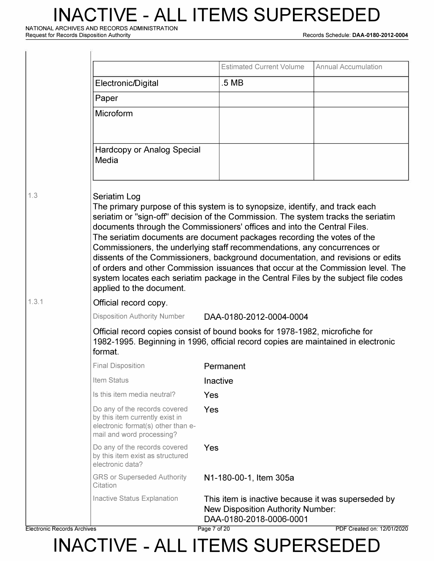**NATIONAL ARCHIVES AND RECORDS ADMINISTRATION** 

**Request for Records Disposition Authority Records Schedule: DAA-0180-2012-0004** 

|       |                                                                                                                                     | <b>Estimated Current Volume</b>                                                                                                                                                                                                                                                                                                                                                                                                                                                                                                                                                                                                                                    | <b>Annual Accumulation</b> |
|-------|-------------------------------------------------------------------------------------------------------------------------------------|--------------------------------------------------------------------------------------------------------------------------------------------------------------------------------------------------------------------------------------------------------------------------------------------------------------------------------------------------------------------------------------------------------------------------------------------------------------------------------------------------------------------------------------------------------------------------------------------------------------------------------------------------------------------|----------------------------|
|       | Electronic/Digital                                                                                                                  | .5 MB                                                                                                                                                                                                                                                                                                                                                                                                                                                                                                                                                                                                                                                              |                            |
|       | Paper                                                                                                                               |                                                                                                                                                                                                                                                                                                                                                                                                                                                                                                                                                                                                                                                                    |                            |
|       | Microform                                                                                                                           |                                                                                                                                                                                                                                                                                                                                                                                                                                                                                                                                                                                                                                                                    |                            |
|       | <b>Hardcopy or Analog Special</b><br>Media                                                                                          |                                                                                                                                                                                                                                                                                                                                                                                                                                                                                                                                                                                                                                                                    |                            |
| 1.3   | Seriatim Log<br>applied to the document.                                                                                            | The primary purpose of this system is to synopsize, identify, and track each<br>seriatim or "sign-off" decision of the Commission. The system tracks the seriatim<br>documents through the Commissioners' offices and into the Central Files.<br>The seriatim documents are document packages recording the votes of the<br>Commissioners, the underlying staff recommendations, any concurrences or<br>dissents of the Commissioners, background documentation, and revisions or edits<br>of orders and other Commission issuances that occur at the Commission level. The<br>system locates each seriatim package in the Central Files by the subject file codes |                            |
| 1.3.1 | Official record copy.                                                                                                               |                                                                                                                                                                                                                                                                                                                                                                                                                                                                                                                                                                                                                                                                    |                            |
|       | <b>Disposition Authority Number</b>                                                                                                 | DAA-0180-2012-0004-0004                                                                                                                                                                                                                                                                                                                                                                                                                                                                                                                                                                                                                                            |                            |
|       | format.                                                                                                                             | Official record copies consist of bound books for 1978-1982, microfiche for<br>1982-1995. Beginning in 1996, official record copies are maintained in electronic                                                                                                                                                                                                                                                                                                                                                                                                                                                                                                   |                            |
|       | <b>Final Disposition</b>                                                                                                            | Permanent                                                                                                                                                                                                                                                                                                                                                                                                                                                                                                                                                                                                                                                          |                            |
|       | Item Status                                                                                                                         | Inactive                                                                                                                                                                                                                                                                                                                                                                                                                                                                                                                                                                                                                                                           |                            |
|       | Is this item media neutral?                                                                                                         | Yes                                                                                                                                                                                                                                                                                                                                                                                                                                                                                                                                                                                                                                                                |                            |
|       | Do any of the records covered<br>by this item currently exist in<br>electronic format(s) other than e-<br>mail and word processing? | Yes                                                                                                                                                                                                                                                                                                                                                                                                                                                                                                                                                                                                                                                                |                            |
|       | Do any of the records covered<br>by this item exist as structured<br>electronic data?                                               | Yes                                                                                                                                                                                                                                                                                                                                                                                                                                                                                                                                                                                                                                                                |                            |
|       | <b>GRS or Superseded Authority</b><br>Citation                                                                                      | N1-180-00-1, Item 305a                                                                                                                                                                                                                                                                                                                                                                                                                                                                                                                                                                                                                                             |                            |
|       | Inactive Status Explanation                                                                                                         | This item is inactive because it was superseded by<br><b>New Disposition Authority Number:</b><br>DAA-0180-2018-0006-0001                                                                                                                                                                                                                                                                                                                                                                                                                                                                                                                                          |                            |

**Electronic Records Archives Page 7 of 20 PDF Created on: 12/01/2020**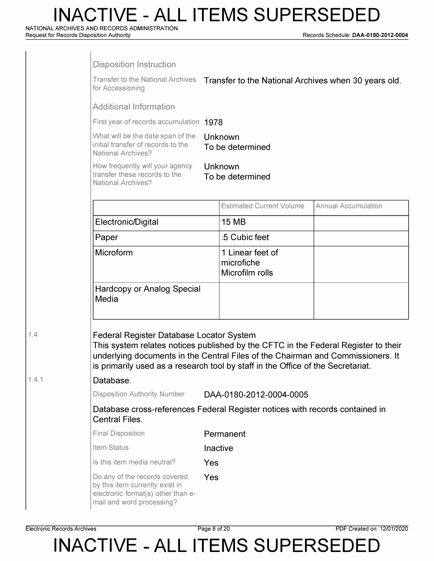**NATIONAL ARCHIVES AND RECORDS ADMINISTRATION** 

**Request for Records Disposition Authority Records Schedule: DAA-0180-2012-0004** 

|       | <b>Disposition Instruction</b><br>Transfer to the National Archives Transfer to the National Archives when 30 years old.<br>for Accessioning                                                                                                                                                         |          |                                                   |                            |
|-------|------------------------------------------------------------------------------------------------------------------------------------------------------------------------------------------------------------------------------------------------------------------------------------------------------|----------|---------------------------------------------------|----------------------------|
|       | <b>Additional Information</b>                                                                                                                                                                                                                                                                        |          |                                                   |                            |
|       | First year of records accumulation 1978                                                                                                                                                                                                                                                              |          |                                                   |                            |
|       | What will be the date span of the<br>initial transfer of records to the<br><b>National Archives?</b>                                                                                                                                                                                                 |          | Unknown<br>To be determined                       |                            |
|       | How frequently will your agency<br>transfer these records to the<br><b>National Archives?</b>                                                                                                                                                                                                        |          | Unknown<br>To be determined                       |                            |
|       |                                                                                                                                                                                                                                                                                                      |          | <b>Estimated Current Volume</b>                   | <b>Annual Accumulation</b> |
|       | Electronic/Digital                                                                                                                                                                                                                                                                                   |          | <b>15 MB</b>                                      |                            |
|       | Paper                                                                                                                                                                                                                                                                                                |          | .5 Cubic feet                                     |                            |
|       | Microform                                                                                                                                                                                                                                                                                            |          | 1 Linear feet of<br>microfiche<br>Microfilm rolls |                            |
|       | <b>Hardcopy or Analog Special</b><br>Media                                                                                                                                                                                                                                                           |          |                                                   |                            |
| 1.4   | Federal Register Database Locator System<br>This system relates notices published by the CFTC in the Federal Register to their<br>underlying documents in the Central Files of the Chairman and Commissioners. It<br>is primarily used as a research tool by staff in the Office of the Secretariat. |          |                                                   |                            |
| 1.4.1 | Database.                                                                                                                                                                                                                                                                                            |          |                                                   |                            |
|       | <b>Disposition Authority Number</b>                                                                                                                                                                                                                                                                  |          | DAA-0180-2012-0004-0005                           |                            |
|       | Database cross-references Federal Register notices with records contained in<br><b>Central Files.</b>                                                                                                                                                                                                |          |                                                   |                            |
|       | <b>Final Disposition</b>                                                                                                                                                                                                                                                                             |          | Permanent                                         |                            |
|       | Item Status                                                                                                                                                                                                                                                                                          | Inactive |                                                   |                            |
|       | Is this item media neutral?                                                                                                                                                                                                                                                                          | Yes      |                                                   |                            |
|       | Do any of the records covered<br>by this item currently exist in<br>electronic format(s) other than e-<br>mail and word processing?                                                                                                                                                                  | Yes      |                                                   |                            |

**Electronic Records Archives Page 8 of 20 PDF Created on: 12/01/2020**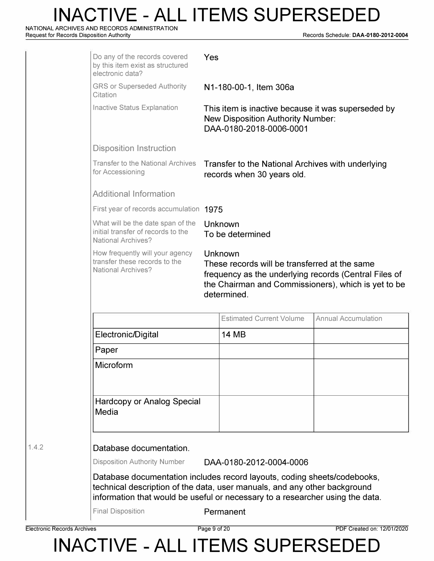**NATIONAL ARCHIVES AND RECORDS ADMINISTRATION** 

**Request for Records Disposition Authority Records Schedule: DAA-0180-2012-0004** 

| Do any of the records covered<br>by this item exist as structured<br>electronic data?                                                                                                                                                                                         | Yes |                                                                                                                                                                          |                            |
|-------------------------------------------------------------------------------------------------------------------------------------------------------------------------------------------------------------------------------------------------------------------------------|-----|--------------------------------------------------------------------------------------------------------------------------------------------------------------------------|----------------------------|
| <b>GRS or Superseded Authority</b><br>Citation                                                                                                                                                                                                                                |     | N1-180-00-1, Item 306a                                                                                                                                                   |                            |
| Inactive Status Explanation                                                                                                                                                                                                                                                   |     | This item is inactive because it was superseded by<br><b>New Disposition Authority Number:</b><br>DAA-0180-2018-0006-0001                                                |                            |
| <b>Disposition Instruction</b>                                                                                                                                                                                                                                                |     |                                                                                                                                                                          |                            |
| <b>Transfer to the National Archives</b><br>for Accessioning                                                                                                                                                                                                                  |     | Transfer to the National Archives with underlying<br>records when 30 years old.                                                                                          |                            |
| <b>Additional Information</b>                                                                                                                                                                                                                                                 |     |                                                                                                                                                                          |                            |
| First year of records accumulation 1975                                                                                                                                                                                                                                       |     |                                                                                                                                                                          |                            |
| What will be the date span of the<br>initial transfer of records to the<br><b>National Archives?</b>                                                                                                                                                                          |     | Unknown<br>To be determined                                                                                                                                              |                            |
| How frequently will your agency<br>transfer these records to the<br><b>National Archives?</b>                                                                                                                                                                                 |     | Unknown<br>These records will be transferred at the same<br>frequency as the underlying records (Central Files of<br>the Chairman and Commissioners), which is yet to be |                            |
|                                                                                                                                                                                                                                                                               |     | determined.                                                                                                                                                              |                            |
|                                                                                                                                                                                                                                                                               |     | <b>Estimated Current Volume</b>                                                                                                                                          | <b>Annual Accumulation</b> |
| Electronic/Digital                                                                                                                                                                                                                                                            |     | <b>14 MB</b>                                                                                                                                                             |                            |
| Paper                                                                                                                                                                                                                                                                         |     |                                                                                                                                                                          |                            |
| Microform                                                                                                                                                                                                                                                                     |     |                                                                                                                                                                          |                            |
| Hardcopy or Analog Special<br>Media                                                                                                                                                                                                                                           |     |                                                                                                                                                                          |                            |
| Database documentation.                                                                                                                                                                                                                                                       |     |                                                                                                                                                                          |                            |
|                                                                                                                                                                                                                                                                               |     | DAA-0180-2012-0004-0006                                                                                                                                                  |                            |
| <b>Disposition Authority Number</b><br>Database documentation includes record layouts, coding sheets/codebooks,<br>technical description of the data, user manuals, and any other background<br>information that would be useful or necessary to a researcher using the data. |     |                                                                                                                                                                          |                            |

**Electronic Records Archives** Page 9 of 20 PDF Created on: 12/01/2020

1.4.2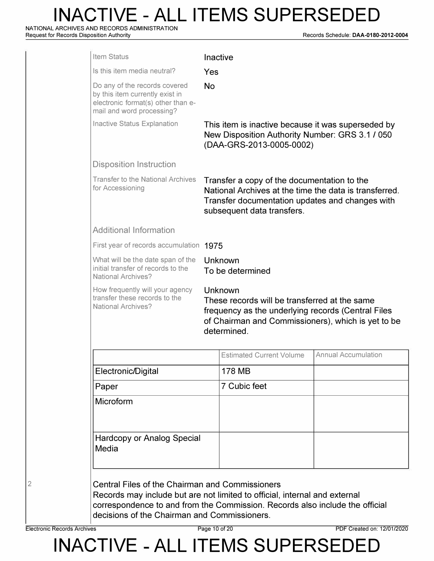**NATIONAL ARCHIVES AND RECORDS ADMINISTRATION** 

**Request for Records Disposition Authority Records Schedule: DAA-0180-2012-0004** 

|                                                                                                                                                                                     | Inactive                                                                                                                          |                                                                                                                                                                                                                                   |  |
|-------------------------------------------------------------------------------------------------------------------------------------------------------------------------------------|-----------------------------------------------------------------------------------------------------------------------------------|-----------------------------------------------------------------------------------------------------------------------------------------------------------------------------------------------------------------------------------|--|
| Yes                                                                                                                                                                                 |                                                                                                                                   |                                                                                                                                                                                                                                   |  |
| <b>No</b>                                                                                                                                                                           |                                                                                                                                   |                                                                                                                                                                                                                                   |  |
|                                                                                                                                                                                     | This item is inactive because it was superseded by<br>New Disposition Authority Number: GRS 3.1 / 050<br>(DAA-GRS-2013-0005-0002) |                                                                                                                                                                                                                                   |  |
|                                                                                                                                                                                     |                                                                                                                                   |                                                                                                                                                                                                                                   |  |
|                                                                                                                                                                                     |                                                                                                                                   |                                                                                                                                                                                                                                   |  |
|                                                                                                                                                                                     |                                                                                                                                   |                                                                                                                                                                                                                                   |  |
|                                                                                                                                                                                     |                                                                                                                                   |                                                                                                                                                                                                                                   |  |
| Unknown<br>To be determined                                                                                                                                                         |                                                                                                                                   |                                                                                                                                                                                                                                   |  |
| Unknown<br>These records will be transferred at the same<br>frequency as the underlying records (Central Files<br>of Chairman and Commissioners), which is yet to be<br>determined. |                                                                                                                                   |                                                                                                                                                                                                                                   |  |
|                                                                                                                                                                                     | <b>Estimated Current Volume</b>                                                                                                   | <b>Annual Accumulation</b>                                                                                                                                                                                                        |  |
|                                                                                                                                                                                     | <b>178 MB</b>                                                                                                                     |                                                                                                                                                                                                                                   |  |
|                                                                                                                                                                                     | 7 Cubic feet                                                                                                                      |                                                                                                                                                                                                                                   |  |
|                                                                                                                                                                                     |                                                                                                                                   |                                                                                                                                                                                                                                   |  |
| <b>Hardcopy or Analog Special</b>                                                                                                                                                   |                                                                                                                                   |                                                                                                                                                                                                                                   |  |
|                                                                                                                                                                                     |                                                                                                                                   | Transfer a copy of the documentation to the<br>National Archives at the time the data is transferred.<br>Transfer documentation updates and changes with<br>subsequent data transfers.<br>First year of records accumulation 1975 |  |

2

**Electronic Records Archives Page 10 of 20 PDF Created on: 12/01/2020**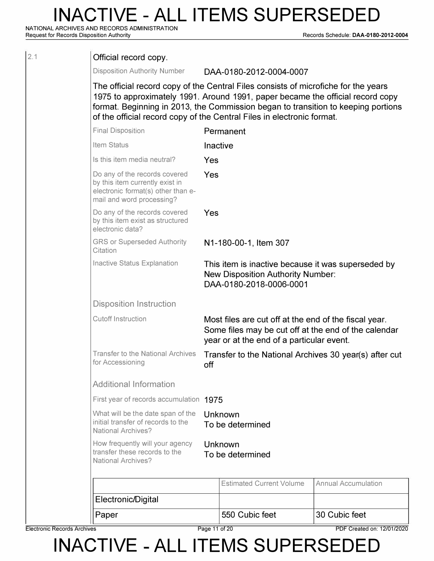**NATIONAL ARCHIVES AND RECORDS ADMINISTRATION** 

**Request for Records Disposition Authority Records Schedule: DAA-0180-2012-0004** 

| Electronic Records Archives |                                                                                                                                                                                                                                                                                                                                     | Page 11 of 20 |                                                                                                                           | PDF Created on: 12/01/2020 |
|-----------------------------|-------------------------------------------------------------------------------------------------------------------------------------------------------------------------------------------------------------------------------------------------------------------------------------------------------------------------------------|---------------|---------------------------------------------------------------------------------------------------------------------------|----------------------------|
|                             | Paper                                                                                                                                                                                                                                                                                                                               |               | 550 Cubic feet                                                                                                            | 30 Cubic feet              |
|                             | Electronic/Digital                                                                                                                                                                                                                                                                                                                  |               |                                                                                                                           |                            |
|                             |                                                                                                                                                                                                                                                                                                                                     |               | <b>Estimated Current Volume</b>                                                                                           | <b>Annual Accumulation</b> |
|                             | <b>National Archives?</b>                                                                                                                                                                                                                                                                                                           |               | To be determined                                                                                                          |                            |
|                             | How frequently will your agency<br>transfer these records to the                                                                                                                                                                                                                                                                    |               | Unknown                                                                                                                   |                            |
|                             | What will be the date span of the<br>initial transfer of records to the<br><b>National Archives?</b>                                                                                                                                                                                                                                |               | Unknown<br>To be determined                                                                                               |                            |
|                             | First year of records accumulation 1975                                                                                                                                                                                                                                                                                             |               |                                                                                                                           |                            |
|                             | <b>Additional Information</b>                                                                                                                                                                                                                                                                                                       |               |                                                                                                                           |                            |
|                             | for Accessioning                                                                                                                                                                                                                                                                                                                    | off           | Transfer to the National Archives 30 year(s) after cut                                                                    |                            |
|                             | <b>Transfer to the National Archives</b>                                                                                                                                                                                                                                                                                            |               | year or at the end of a particular event.                                                                                 |                            |
|                             | <b>Cutoff Instruction</b>                                                                                                                                                                                                                                                                                                           |               | Most files are cut off at the end of the fiscal year.<br>Some files may be cut off at the end of the calendar             |                            |
|                             | <b>Disposition Instruction</b>                                                                                                                                                                                                                                                                                                      |               |                                                                                                                           |                            |
|                             | Inactive Status Explanation                                                                                                                                                                                                                                                                                                         |               | This item is inactive because it was superseded by<br><b>New Disposition Authority Number:</b><br>DAA-0180-2018-0006-0001 |                            |
|                             | <b>GRS or Superseded Authority</b><br>Citation                                                                                                                                                                                                                                                                                      |               | N1-180-00-1, Item 307                                                                                                     |                            |
|                             | Do any of the records covered<br>by this item exist as structured<br>electronic data?                                                                                                                                                                                                                                               | Yes           |                                                                                                                           |                            |
|                             | Do any of the records covered<br>by this item currently exist in<br>electronic format(s) other than e-<br>mail and word processing?                                                                                                                                                                                                 | Yes           |                                                                                                                           |                            |
|                             | Is this item media neutral?                                                                                                                                                                                                                                                                                                         | Yes           |                                                                                                                           |                            |
|                             | Item Status                                                                                                                                                                                                                                                                                                                         | Inactive      |                                                                                                                           |                            |
|                             | <b>Final Disposition</b>                                                                                                                                                                                                                                                                                                            |               | Permanent                                                                                                                 |                            |
|                             | The official record copy of the Central Files consists of microfiche for the years<br>1975 to approximately 1991. Around 1991, paper became the official record copy<br>format. Beginning in 2013, the Commission began to transition to keeping portions<br>of the official record copy of the Central Files in electronic format. |               |                                                                                                                           |                            |
|                             | <b>Disposition Authority Number</b>                                                                                                                                                                                                                                                                                                 |               | DAA-0180-2012-0004-0007                                                                                                   |                            |
| 2.1                         | Official record copy.                                                                                                                                                                                                                                                                                                               |               |                                                                                                                           |                            |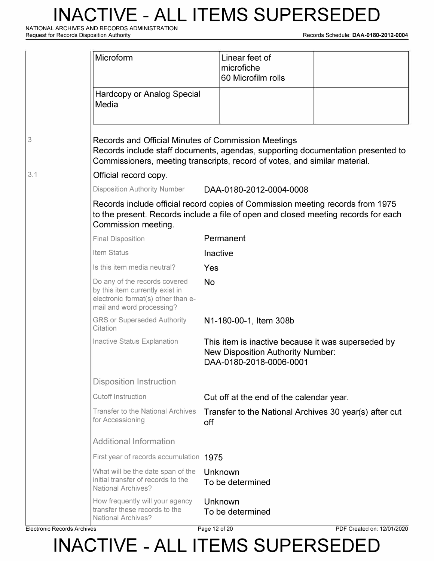**NATIONAL ARCHIVES AND RECORDS ADMINISTRATION** 

**Request for Records Disposition Authority Records Schedule: DAA-0180-2012-0004** 

|     | Microform                                                                                                                           | Linear feet of<br>microfiche<br>60 Microfilm rolls                                                                                                                   |  |
|-----|-------------------------------------------------------------------------------------------------------------------------------------|----------------------------------------------------------------------------------------------------------------------------------------------------------------------|--|
|     | <b>Hardcopy or Analog Special</b><br>Media                                                                                          |                                                                                                                                                                      |  |
| 3   | Records and Official Minutes of Commission Meetings                                                                                 | Records include staff documents, agendas, supporting documentation presented to<br>Commissioners, meeting transcripts, record of votes, and similar material.        |  |
| 3.1 | Official record copy.                                                                                                               |                                                                                                                                                                      |  |
|     | <b>Disposition Authority Number</b>                                                                                                 | DAA-0180-2012-0004-0008                                                                                                                                              |  |
|     | Commission meeting.                                                                                                                 | Records include official record copies of Commission meeting records from 1975<br>to the present. Records include a file of open and closed meeting records for each |  |
|     | <b>Final Disposition</b>                                                                                                            | Permanent                                                                                                                                                            |  |
|     | Item Status                                                                                                                         | Inactive                                                                                                                                                             |  |
|     | Is this item media neutral?                                                                                                         | Yes                                                                                                                                                                  |  |
|     | Do any of the records covered<br>by this item currently exist in<br>electronic format(s) other than e-<br>mail and word processing? | <b>No</b>                                                                                                                                                            |  |
|     | <b>GRS or Superseded Authority</b><br>Citation                                                                                      | N1-180-00-1, Item 308b                                                                                                                                               |  |
|     | Inactive Status Explanation                                                                                                         | This item is inactive because it was superseded by<br><b>New Disposition Authority Number:</b><br>DAA-0180-2018-0006-0001                                            |  |
|     | <b>Disposition Instruction</b>                                                                                                      |                                                                                                                                                                      |  |
|     | <b>Cutoff Instruction</b>                                                                                                           | Cut off at the end of the calendar year.                                                                                                                             |  |
|     | <b>Transfer to the National Archives</b><br>for Accessioning                                                                        | Transfer to the National Archives 30 year(s) after cut<br>off                                                                                                        |  |
|     | <b>Additional Information</b>                                                                                                       |                                                                                                                                                                      |  |
|     | First year of records accumulation 1975                                                                                             |                                                                                                                                                                      |  |
|     | What will be the date span of the<br>initial transfer of records to the<br><b>National Archives?</b>                                | Unknown<br>To be determined                                                                                                                                          |  |
|     | How frequently will your agency<br>transfer these records to the<br><b>National Archives?</b>                                       | Unknown<br>To be determined                                                                                                                                          |  |

**Electronic Records Archives Page 12 of 20 PDF Created on: 12/01/2020**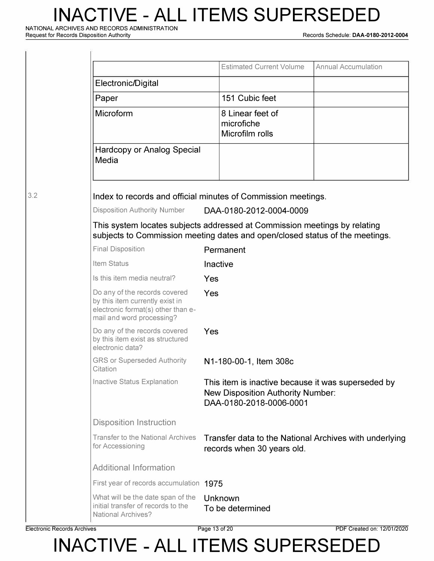**NATIONAL ARCHIVES AND RECORDS ADMINISTRATION** 

Ÿ

**Request for Records Disposition Authority Records Schedule: DAA-0180-2012-0004** 

|                                                                                                                                     | <b>Estimated Current Volume</b>                                                                                                                           | <b>Annual Accumulation</b> |
|-------------------------------------------------------------------------------------------------------------------------------------|-----------------------------------------------------------------------------------------------------------------------------------------------------------|----------------------------|
| Electronic/Digital                                                                                                                  |                                                                                                                                                           |                            |
| Paper                                                                                                                               | 151 Cubic feet                                                                                                                                            |                            |
| <b>Microform</b>                                                                                                                    | 8 Linear feet of<br>microfiche<br>Microfilm rolls                                                                                                         |                            |
| <b>Hardcopy or Analog Special</b><br>Media                                                                                          |                                                                                                                                                           |                            |
|                                                                                                                                     | Index to records and official minutes of Commission meetings.                                                                                             |                            |
| <b>Disposition Authority Number</b>                                                                                                 | DAA-0180-2012-0004-0009                                                                                                                                   |                            |
|                                                                                                                                     | This system locates subjects addressed at Commission meetings by relating<br>subjects to Commission meeting dates and open/closed status of the meetings. |                            |
| <b>Final Disposition</b>                                                                                                            | Permanent                                                                                                                                                 |                            |
| Item Status                                                                                                                         | Inactive                                                                                                                                                  |                            |
| Is this item media neutral?                                                                                                         | Yes                                                                                                                                                       |                            |
| Do any of the records covered<br>by this item currently exist in<br>electronic format(s) other than e-<br>mail and word processing? | Yes                                                                                                                                                       |                            |
| Do any of the records covered<br>by this item exist as structured<br>electronic data?                                               | Yes                                                                                                                                                       |                            |
| <b>GRS or Superseded Authority</b><br>Citation                                                                                      | N1-180-00-1, Item 308c                                                                                                                                    |                            |
| Inactive Status Explanation                                                                                                         | This item is inactive because it was superseded by<br><b>New Disposition Authority Number:</b><br>DAA-0180-2018-0006-0001                                 |                            |
| <b>Disposition Instruction</b>                                                                                                      |                                                                                                                                                           |                            |
| <b>Transfer to the National Archives</b><br>for Accessioning                                                                        | Transfer data to the National Archives with underlying<br>records when 30 years old.                                                                      |                            |
| <b>Additional Information</b>                                                                                                       |                                                                                                                                                           |                            |
| First year of records accumulation 1975                                                                                             |                                                                                                                                                           |                            |
| What will be the date span of the<br>initial transfer of records to the<br><b>National Archives?</b>                                | Unknown<br>To be determined                                                                                                                               |                            |
|                                                                                                                                     |                                                                                                                                                           |                            |

3.2

**Electronic Records Archives** Page 13 of 20 PDF Created on: 12/01/2020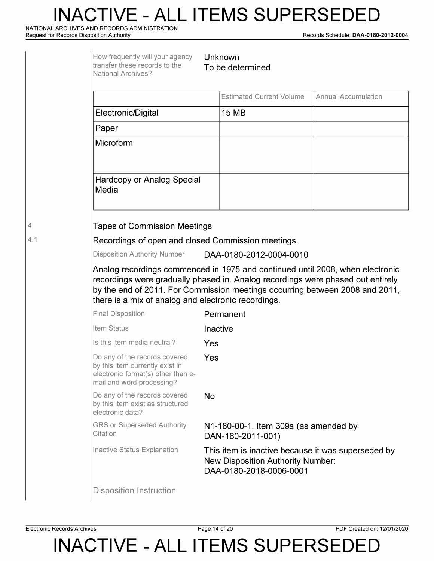**NATIONAL ARCHIVES AND RECORDS ADMINISTRATION** 

**Request for Records Disposition Authority Records Schedule: DAA-0180-2012-0004** 

|     | How frequently will your agency<br>Unknown<br>transfer these records to the<br>To be determined<br><b>National Archives?</b>                                                                                            |                                                                                                                           |                            |  |  |
|-----|-------------------------------------------------------------------------------------------------------------------------------------------------------------------------------------------------------------------------|---------------------------------------------------------------------------------------------------------------------------|----------------------------|--|--|
|     |                                                                                                                                                                                                                         | <b>Estimated Current Volume</b>                                                                                           | <b>Annual Accumulation</b> |  |  |
|     | Electronic/Digital                                                                                                                                                                                                      | <b>15 MB</b>                                                                                                              |                            |  |  |
|     | Paper                                                                                                                                                                                                                   |                                                                                                                           |                            |  |  |
|     | Microform                                                                                                                                                                                                               |                                                                                                                           |                            |  |  |
|     | <b>Hardcopy or Analog Special</b><br>Media                                                                                                                                                                              |                                                                                                                           |                            |  |  |
| 4   | <b>Tapes of Commission Meetings</b>                                                                                                                                                                                     |                                                                                                                           |                            |  |  |
| 4.1 | Recordings of open and closed Commission meetings.<br><b>Disposition Authority Number</b><br>DAA-0180-2012-0004-0010                                                                                                    |                                                                                                                           |                            |  |  |
|     |                                                                                                                                                                                                                         |                                                                                                                           |                            |  |  |
|     | Analog recordings commenced in 1975 and continued until 2008, when electronic<br>recordings were gradually phased in. Analog recordings were phased out entirely<br>there is a mix of analog and electronic recordings. | by the end of 2011. For Commission meetings occurring between 2008 and 2011,                                              |                            |  |  |
|     | <b>Final Disposition</b>                                                                                                                                                                                                | Permanent                                                                                                                 |                            |  |  |
|     | Item Status                                                                                                                                                                                                             | Inactive                                                                                                                  |                            |  |  |
|     | Is this item media neutral?                                                                                                                                                                                             | Yes                                                                                                                       |                            |  |  |
|     | Do any of the records covered<br>by this item currently exist in<br>electronic format(s) other than e-<br>mail and word processing?                                                                                     | Yes                                                                                                                       |                            |  |  |
|     | Do any of the records covered<br>by this item exist as structured<br>electronic data?                                                                                                                                   | <b>No</b>                                                                                                                 |                            |  |  |
|     | <b>GRS or Superseded Authority</b><br>Citation                                                                                                                                                                          | N1-180-00-1, Item 309a (as amended by<br>DAN-180-2011-001)                                                                |                            |  |  |
|     | Inactive Status Explanation                                                                                                                                                                                             | This item is inactive because it was superseded by<br><b>New Disposition Authority Number:</b><br>DAA-0180-2018-0006-0001 |                            |  |  |
|     | <b>Disposition Instruction</b>                                                                                                                                                                                          |                                                                                                                           |                            |  |  |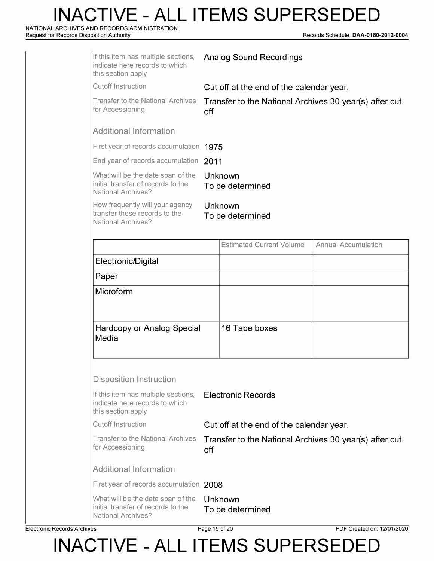**NATIONAL ARCHIVES AND RECORDS ADMINISTRATION** 

**Request for Records Disposition Authority Records Schedule: DAA-0180-2012-0004** 

| If this item has multiple sections,<br>indicate here records to which<br>this section apply          | <b>Analog Sound Recordings</b>                                |                                                        |                            |  |
|------------------------------------------------------------------------------------------------------|---------------------------------------------------------------|--------------------------------------------------------|----------------------------|--|
| <b>Cutoff Instruction</b>                                                                            | Cut off at the end of the calendar year.                      |                                                        |                            |  |
| <b>Transfer to the National Archives</b><br>for Accessioning                                         | Transfer to the National Archives 30 year(s) after cut<br>off |                                                        |                            |  |
| <b>Additional Information</b>                                                                        |                                                               |                                                        |                            |  |
| First year of records accumulation 1975                                                              |                                                               |                                                        |                            |  |
| End year of records accumulation 2011                                                                |                                                               |                                                        |                            |  |
| What will be the date span of the<br>initial transfer of records to the<br><b>National Archives?</b> |                                                               | Unknown<br>To be determined                            |                            |  |
| How frequently will your agency<br>transfer these records to the<br><b>National Archives?</b>        |                                                               | Unknown<br>To be determined                            |                            |  |
|                                                                                                      |                                                               | <b>Estimated Current Volume</b>                        | <b>Annual Accumulation</b> |  |
| Electronic/Digital                                                                                   |                                                               |                                                        |                            |  |
|                                                                                                      |                                                               |                                                        |                            |  |
| Paper<br>Microform                                                                                   |                                                               |                                                        |                            |  |
| <b>Hardcopy or Analog Special</b><br>Media                                                           |                                                               | 16 Tape boxes                                          |                            |  |
| <b>Disposition Instruction</b>                                                                       |                                                               |                                                        |                            |  |
| If this item has multiple sections,<br>indicate here records to which<br>this section apply          |                                                               | <b>Electronic Records</b>                              |                            |  |
| <b>Cutoff Instruction</b>                                                                            |                                                               | Cut off at the end of the calendar year.               |                            |  |
| <b>Transfer to the National Archives</b><br>for Accessioning                                         | off                                                           | Transfer to the National Archives 30 year(s) after cut |                            |  |
| <b>Additional Information</b>                                                                        |                                                               |                                                        |                            |  |
| First year of records accumulation 2008                                                              |                                                               |                                                        |                            |  |

**Electronic Records Archives** 

**Page 15 of 20 PDF Created on: 12/01/2020**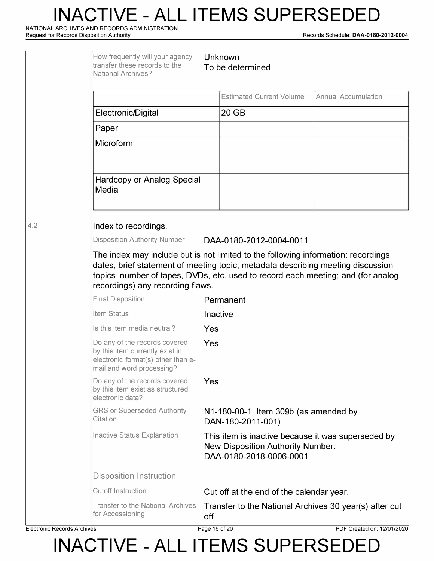**NATIONAL ARCHIVES AND RECORDS ADMINISTRATION** 

**Request for Records Disposition Authority Records Schedule: DAA-0180-2012-0004** 

|     | How frequently will your agency<br>transfer these records to the<br><b>National Archives?</b>                                       | Unknown<br>To be determined                                                                                                                                                                                                                                                                  |                            |  |  |  |  |
|-----|-------------------------------------------------------------------------------------------------------------------------------------|----------------------------------------------------------------------------------------------------------------------------------------------------------------------------------------------------------------------------------------------------------------------------------------------|----------------------------|--|--|--|--|
|     |                                                                                                                                     | <b>Estimated Current Volume</b>                                                                                                                                                                                                                                                              | <b>Annual Accumulation</b> |  |  |  |  |
|     | Electronic/Digital                                                                                                                  | 20 GB                                                                                                                                                                                                                                                                                        |                            |  |  |  |  |
|     | Paper                                                                                                                               |                                                                                                                                                                                                                                                                                              |                            |  |  |  |  |
|     | Microform                                                                                                                           |                                                                                                                                                                                                                                                                                              |                            |  |  |  |  |
|     | <b>Hardcopy or Analog Special</b><br>Media                                                                                          |                                                                                                                                                                                                                                                                                              |                            |  |  |  |  |
| 4.2 | Index to recordings.                                                                                                                |                                                                                                                                                                                                                                                                                              |                            |  |  |  |  |
|     | <b>Disposition Authority Number</b>                                                                                                 | DAA-0180-2012-0004-0011                                                                                                                                                                                                                                                                      |                            |  |  |  |  |
|     |                                                                                                                                     | The index may include but is not limited to the following information: recordings<br>dates; brief statement of meeting topic; metadata describing meeting discussion<br>topics; number of tapes, DVDs, etc. used to record each meeting; and (for analog<br>recordings) any recording flaws. |                            |  |  |  |  |
|     | <b>Final Disposition</b>                                                                                                            | Permanent                                                                                                                                                                                                                                                                                    |                            |  |  |  |  |
|     | Item Status                                                                                                                         | Inactive                                                                                                                                                                                                                                                                                     |                            |  |  |  |  |
|     | Is this item media neutral?                                                                                                         | Yes                                                                                                                                                                                                                                                                                          |                            |  |  |  |  |
|     | Do any of the records covered<br>by this item currently exist in<br>electronic format(s) other than e-<br>mail and word processing? | Yes                                                                                                                                                                                                                                                                                          |                            |  |  |  |  |
|     | Do any of the records covered<br>by this item exist as structured<br>electronic data?                                               | Yes                                                                                                                                                                                                                                                                                          |                            |  |  |  |  |
|     | <b>GRS or Superseded Authority</b><br>Citation                                                                                      | N1-180-00-1, Item 309b (as amended by<br>DAN-180-2011-001)                                                                                                                                                                                                                                   |                            |  |  |  |  |
|     | <b>Inactive Status Explanation</b>                                                                                                  | This item is inactive because it was superseded by<br><b>New Disposition Authority Number:</b><br>DAA-0180-2018-0006-0001                                                                                                                                                                    |                            |  |  |  |  |
|     | <b>Disposition Instruction</b>                                                                                                      |                                                                                                                                                                                                                                                                                              |                            |  |  |  |  |
|     | <b>Cutoff Instruction</b>                                                                                                           | Cut off at the end of the calendar year.                                                                                                                                                                                                                                                     |                            |  |  |  |  |
|     | <b>Transfer to the National Archives</b><br>for Accessioning                                                                        | Transfer to the National Archives 30 year(s) after cut<br>off                                                                                                                                                                                                                                |                            |  |  |  |  |

**Electronic Records Archives Page 16 of 20 PDF Created on: 12/01/2020**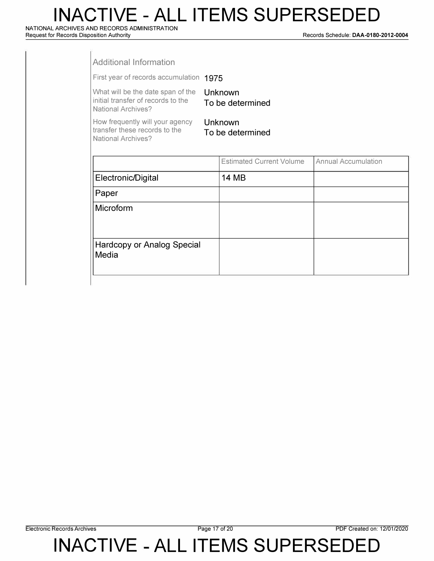**NATIONAL ARCHIVES AND RECORDS ADMINISTRATION Request for Records Disposition Authority** 

**Records Schedule: DAA-0180-2012-0004** 

| <b>Additional Information</b>                                                                        |                                 |                            |
|------------------------------------------------------------------------------------------------------|---------------------------------|----------------------------|
| First year of records accumulation 1975                                                              |                                 |                            |
| What will be the date span of the<br>initial transfer of records to the<br><b>National Archives?</b> | Unknown<br>To be determined     |                            |
| How frequently will your agency<br>transfer these records to the<br><b>National Archives?</b>        | Unknown<br>To be determined     |                            |
|                                                                                                      | <b>Estimated Current Volume</b> | <b>Annual Accumulation</b> |
| Electronic/Digital                                                                                   | 14 MB                           |                            |
| Paper                                                                                                |                                 |                            |
| Microform                                                                                            |                                 |                            |
|                                                                                                      |                                 |                            |

Hardcopy or Analog Special

Media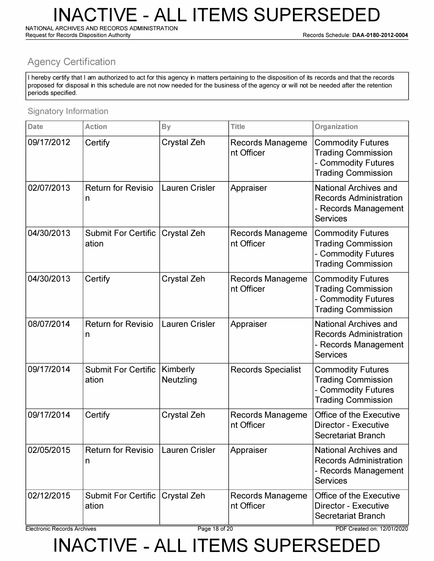**NATIONAL ARCHIVES AND RECORDS ADMINISTRATION** 

**Request for Records Disposition Authority Records Schedule: DAA-0180-2012-0004** 

#### **Agency Certification**

I hereby certify that I am authorized to act for this agency in matters pertaining to the disposition of its records and that the records proposed for disposal in this schedule are not now needed for the business of the agency or will not be needed after the retention periods specified .

#### Signatory Information

| <b>Date</b> | <b>Action</b>                       | <b>By</b>             | <b>Title</b>                          | Organization                                                                                              |
|-------------|-------------------------------------|-----------------------|---------------------------------------|-----------------------------------------------------------------------------------------------------------|
| 09/17/2012  | Certify                             | <b>Crystal Zeh</b>    | <b>Records Manageme</b><br>nt Officer | <b>Commodity Futures</b><br><b>Trading Commission</b><br>- Commodity Futures<br><b>Trading Commission</b> |
| 02/07/2013  | <b>Return for Revisio</b><br>n      | <b>Lauren Crisler</b> | Appraiser                             | <b>National Archives and</b><br><b>Records Administration</b><br>- Records Management<br><b>Services</b>  |
| 04/30/2013  | <b>Submit For Certific</b><br>ation | <b>Crystal Zeh</b>    | <b>Records Manageme</b><br>nt Officer | <b>Commodity Futures</b><br><b>Trading Commission</b><br>- Commodity Futures<br><b>Trading Commission</b> |
| 04/30/2013  | Certify                             | <b>Crystal Zeh</b>    | Records Manageme<br>nt Officer        | <b>Commodity Futures</b><br><b>Trading Commission</b><br>- Commodity Futures<br><b>Trading Commission</b> |
| 08/07/2014  | <b>Return for Revisio</b><br>n      | <b>Lauren Crisler</b> | Appraiser                             | <b>National Archives and</b><br><b>Records Administration</b><br>- Records Management<br><b>Services</b>  |
| 09/17/2014  | <b>Submit For Certific</b><br>ation | Kimberly<br>Neutzling | <b>Records Specialist</b>             | <b>Commodity Futures</b><br><b>Trading Commission</b><br>- Commodity Futures<br><b>Trading Commission</b> |
| 09/17/2014  | Certify                             | <b>Crystal Zeh</b>    | <b>Records Manageme</b><br>nt Officer | <b>Office of the Executive</b><br><b>Director - Executive</b><br>Secretariat Branch                       |
| 02/05/2015  | <b>Return for Revisio</b><br>n      | <b>Lauren Crisler</b> | Appraiser                             | National Archives and<br><b>Records Administration</b><br>- Records Management<br><b>Services</b>         |
| 02/12/2015  | <b>Submit For Certific</b><br>ation | <b>Crystal Zeh</b>    | <b>Records Manageme</b><br>nt Officer | Office of the Executive<br><b>Director - Executive</b><br><b>Secretariat Branch</b>                       |

**Electronic Records Archives Page 18 of 20 PDF Created on: 12/01/2020**